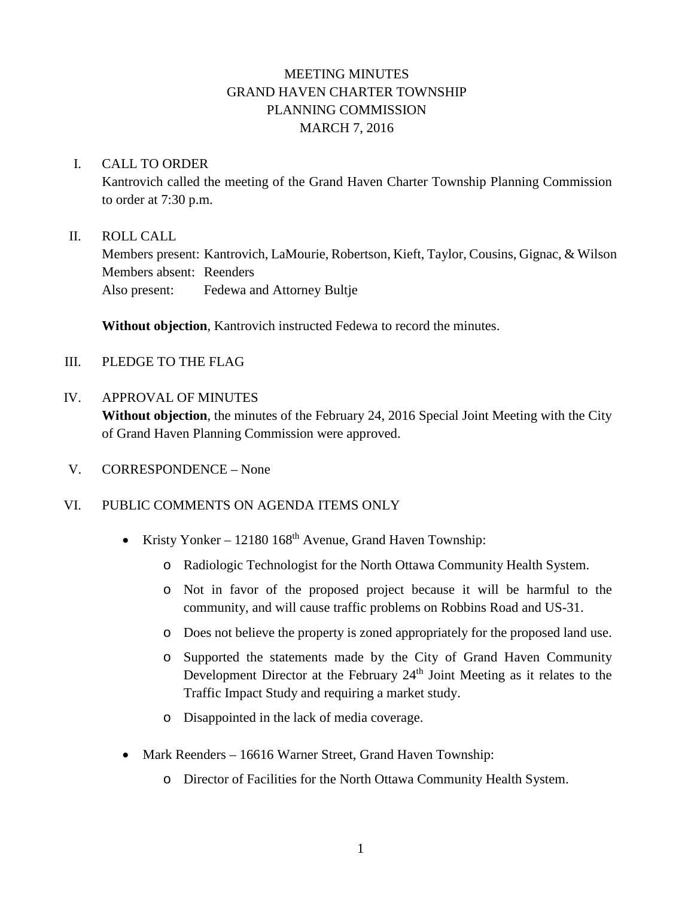# MEETING MINUTES GRAND HAVEN CHARTER TOWNSHIP PLANNING COMMISSION MARCH 7, 2016

### I. CALL TO ORDER

Kantrovich called the meeting of the Grand Haven Charter Township Planning Commission to order at 7:30 p.m.

### II. ROLL CALL

Members present: Kantrovich, LaMourie, Robertson, Kieft, Taylor, Cousins, Gignac, & Wilson Members absent: Reenders Also present: Fedewa and Attorney Bultje

**Without objection**, Kantrovich instructed Fedewa to record the minutes.

- III. PLEDGE TO THE FLAG
- IV. APPROVAL OF MINUTES **Without objection**, the minutes of the February 24, 2016 Special Joint Meeting with the City of Grand Haven Planning Commission were approved.
- V. CORRESPONDENCE None

### VI. PUBLIC COMMENTS ON AGENDA ITEMS ONLY

- Kristy Yonker 12180  $168<sup>th</sup>$  Avenue, Grand Haven Township:
	- o Radiologic Technologist for the North Ottawa Community Health System.
	- o Not in favor of the proposed project because it will be harmful to the community, and will cause traffic problems on Robbins Road and US-31.
	- o Does not believe the property is zoned appropriately for the proposed land use.
	- o Supported the statements made by the City of Grand Haven Community Development Director at the February 24<sup>th</sup> Joint Meeting as it relates to the Traffic Impact Study and requiring a market study.
	- o Disappointed in the lack of media coverage.
- Mark Reenders 16616 Warner Street, Grand Haven Township:
	- o Director of Facilities for the North Ottawa Community Health System.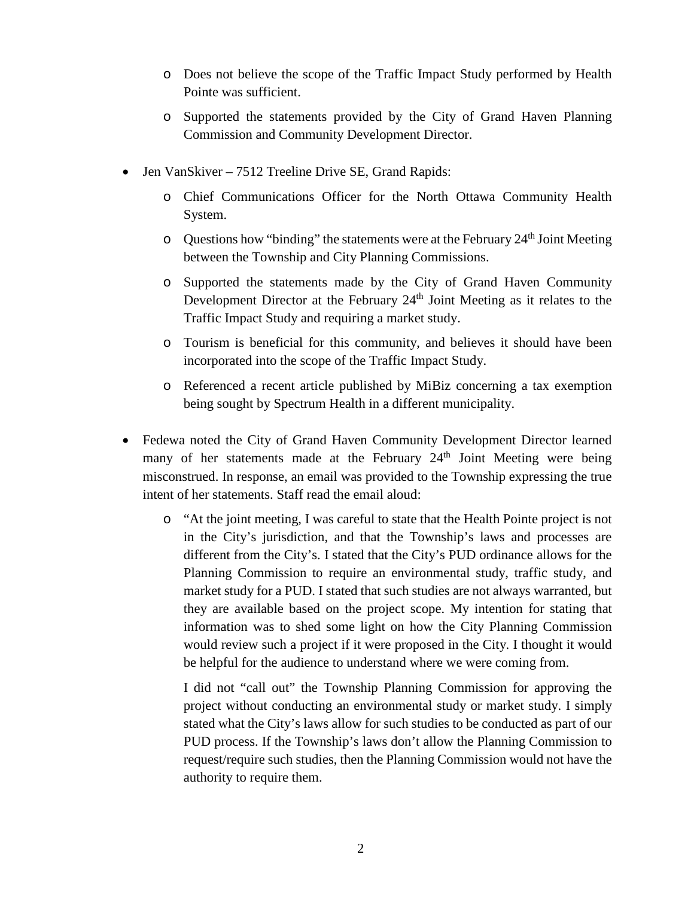- o Does not believe the scope of the Traffic Impact Study performed by Health Pointe was sufficient.
- o Supported the statements provided by the City of Grand Haven Planning Commission and Community Development Director.
- Jen VanSkiver 7512 Treeline Drive SE, Grand Rapids:
	- o Chief Communications Officer for the North Ottawa Community Health System.
	- $\circ$  Questions how "binding" the statements were at the February 24<sup>th</sup> Joint Meeting between the Township and City Planning Commissions.
	- o Supported the statements made by the City of Grand Haven Community Development Director at the February 24<sup>th</sup> Joint Meeting as it relates to the Traffic Impact Study and requiring a market study.
	- o Tourism is beneficial for this community, and believes it should have been incorporated into the scope of the Traffic Impact Study.
	- o Referenced a recent article published by MiBiz concerning a tax exemption being sought by Spectrum Health in a different municipality.
- Fedewa noted the City of Grand Haven Community Development Director learned many of her statements made at the February  $24<sup>th</sup>$  Joint Meeting were being misconstrued. In response, an email was provided to the Township expressing the true intent of her statements. Staff read the email aloud:
	- o "At the joint meeting, I was careful to state that the Health Pointe project is not in the City's jurisdiction, and that the Township's laws and processes are different from the City's. I stated that the City's PUD ordinance allows for the Planning Commission to require an environmental study, traffic study, and market study for a PUD. I stated that such studies are not always warranted, but they are available based on the project scope. My intention for stating that information was to shed some light on how the City Planning Commission would review such a project if it were proposed in the City. I thought it would be helpful for the audience to understand where we were coming from.

I did not "call out" the Township Planning Commission for approving the project without conducting an environmental study or market study. I simply stated what the City's laws allow for such studies to be conducted as part of our PUD process. If the Township's laws don't allow the Planning Commission to request/require such studies, then the Planning Commission would not have the authority to require them.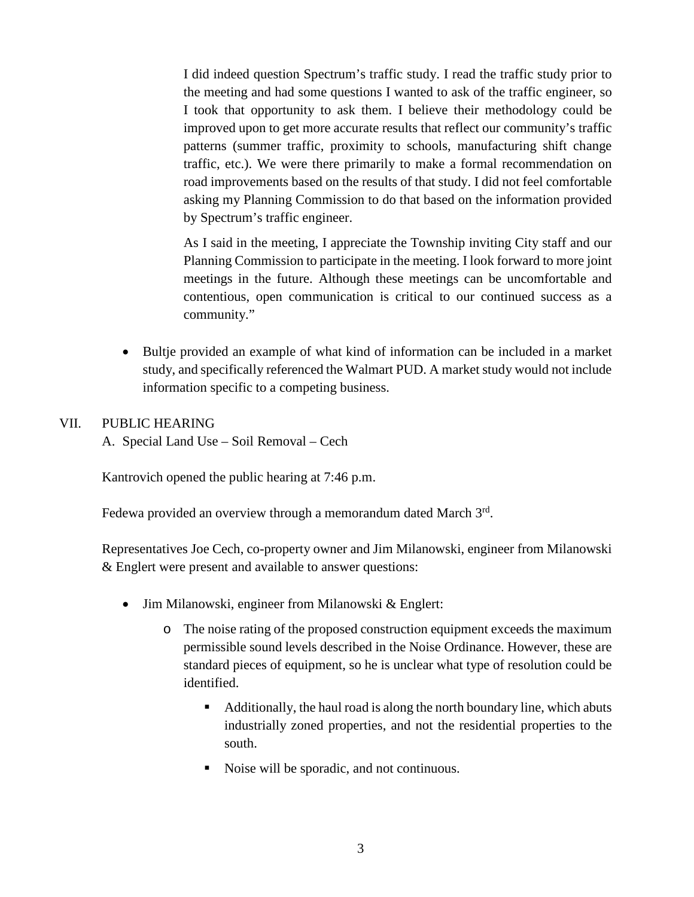I did indeed question Spectrum's traffic study. I read the traffic study prior to the meeting and had some questions I wanted to ask of the traffic engineer, so I took that opportunity to ask them. I believe their methodology could be improved upon to get more accurate results that reflect our community's traffic patterns (summer traffic, proximity to schools, manufacturing shift change traffic, etc.). We were there primarily to make a formal recommendation on road improvements based on the results of that study. I did not feel comfortable asking my Planning Commission to do that based on the information provided by Spectrum's traffic engineer.

As I said in the meeting, I appreciate the Township inviting City staff and our Planning Commission to participate in the meeting. I look forward to more joint meetings in the future. Although these meetings can be uncomfortable and contentious, open communication is critical to our continued success as a community."

• Bultie provided an example of what kind of information can be included in a market study, and specifically referenced the Walmart PUD. A market study would not include information specific to a competing business.

### VII. PUBLIC HEARING

A. Special Land Use – Soil Removal – Cech

Kantrovich opened the public hearing at 7:46 p.m.

Fedewa provided an overview through a memorandum dated March  $3<sup>rd</sup>$ .

Representatives Joe Cech, co-property owner and Jim Milanowski, engineer from Milanowski & Englert were present and available to answer questions:

- Jim Milanowski, engineer from Milanowski & Englert:
	- o The noise rating of the proposed construction equipment exceeds the maximum permissible sound levels described in the Noise Ordinance. However, these are standard pieces of equipment, so he is unclear what type of resolution could be identified.
		- Additionally, the haul road is along the north boundary line, which abuts industrially zoned properties, and not the residential properties to the south.
		- Noise will be sporadic, and not continuous.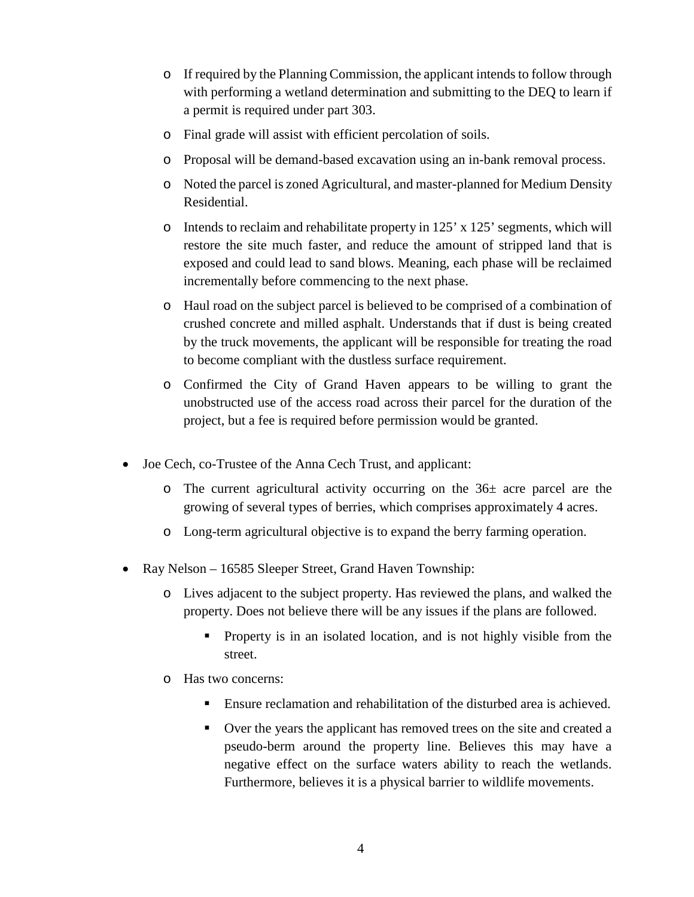- o If required by the Planning Commission, the applicant intends to follow through with performing a wetland determination and submitting to the DEQ to learn if a permit is required under part 303.
- o Final grade will assist with efficient percolation of soils.
- o Proposal will be demand-based excavation using an in-bank removal process.
- o Noted the parcel is zoned Agricultural, and master-planned for Medium Density Residential.
- $\circ$  Intends to reclaim and rehabilitate property in 125' x 125' segments, which will restore the site much faster, and reduce the amount of stripped land that is exposed and could lead to sand blows. Meaning, each phase will be reclaimed incrementally before commencing to the next phase.
- o Haul road on the subject parcel is believed to be comprised of a combination of crushed concrete and milled asphalt. Understands that if dust is being created by the truck movements, the applicant will be responsible for treating the road to become compliant with the dustless surface requirement.
- o Confirmed the City of Grand Haven appears to be willing to grant the unobstructed use of the access road across their parcel for the duration of the project, but a fee is required before permission would be granted.
- Joe Cech, co-Trustee of the Anna Cech Trust, and applicant:
	- $\circ$  The current agricultural activity occurring on the 36 $\pm$  acre parcel are the growing of several types of berries, which comprises approximately 4 acres.
	- o Long-term agricultural objective is to expand the berry farming operation.
- Ray Nelson 16585 Sleeper Street, Grand Haven Township:
	- o Lives adjacent to the subject property. Has reviewed the plans, and walked the property. Does not believe there will be any issues if the plans are followed.
		- **Property is in an isolated location, and is not highly visible from the** street.
	- o Has two concerns:
		- Ensure reclamation and rehabilitation of the disturbed area is achieved.
		- Over the years the applicant has removed trees on the site and created a pseudo-berm around the property line. Believes this may have a negative effect on the surface waters ability to reach the wetlands. Furthermore, believes it is a physical barrier to wildlife movements.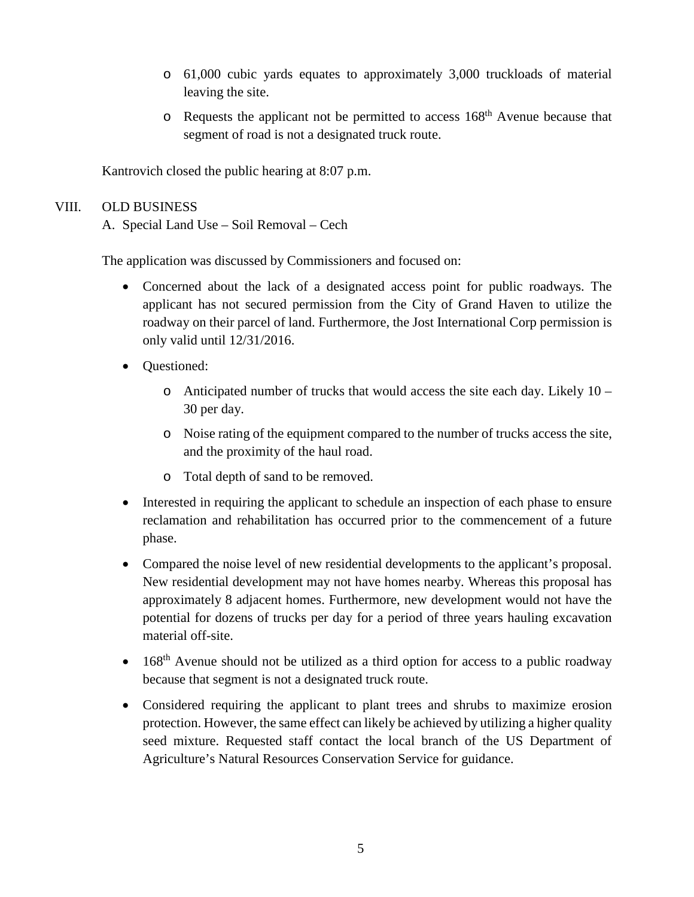- o 61,000 cubic yards equates to approximately 3,000 truckloads of material leaving the site.
- o Requests the applicant not be permitted to access 168th Avenue because that segment of road is not a designated truck route.

Kantrovich closed the public hearing at 8:07 p.m.

## VIII. OLD BUSINESS

A. Special Land Use – Soil Removal – Cech

The application was discussed by Commissioners and focused on:

- Concerned about the lack of a designated access point for public roadways. The applicant has not secured permission from the City of Grand Haven to utilize the roadway on their parcel of land. Furthermore, the Jost International Corp permission is only valid until 12/31/2016.
- Questioned:
	- o Anticipated number of trucks that would access the site each day. Likely 10 30 per day.
	- o Noise rating of the equipment compared to the number of trucks access the site, and the proximity of the haul road.
	- o Total depth of sand to be removed.
- Interested in requiring the applicant to schedule an inspection of each phase to ensure reclamation and rehabilitation has occurred prior to the commencement of a future phase.
- Compared the noise level of new residential developments to the applicant's proposal. New residential development may not have homes nearby. Whereas this proposal has approximately 8 adjacent homes. Furthermore, new development would not have the potential for dozens of trucks per day for a period of three years hauling excavation material off-site.
- $\bullet$  168<sup>th</sup> Avenue should not be utilized as a third option for access to a public roadway because that segment is not a designated truck route.
- Considered requiring the applicant to plant trees and shrubs to maximize erosion protection. However, the same effect can likely be achieved by utilizing a higher quality seed mixture. Requested staff contact the local branch of the US Department of Agriculture's Natural Resources Conservation Service for guidance.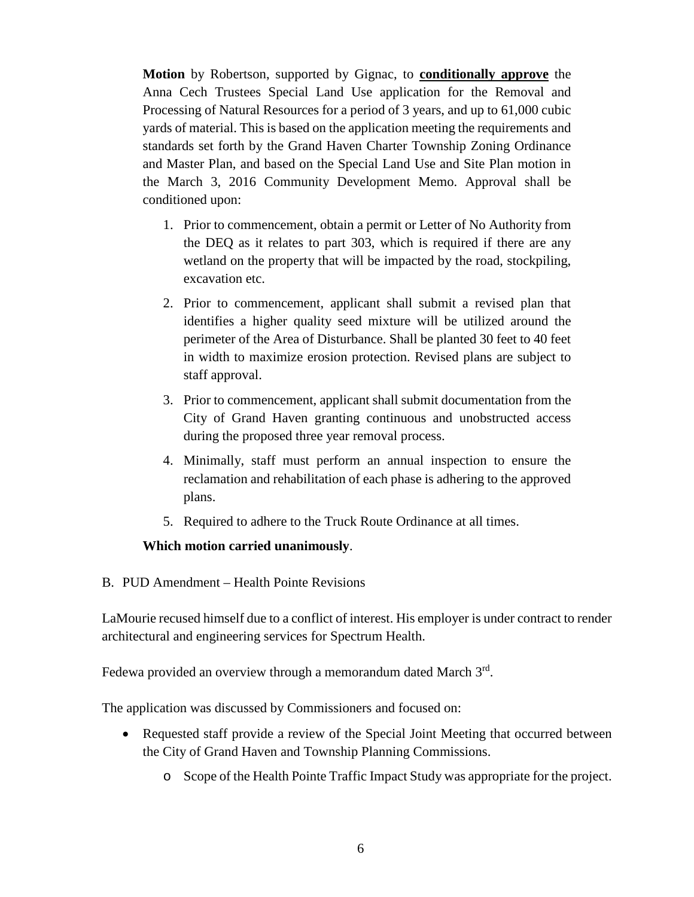**Motion** by Robertson, supported by Gignac, to **conditionally approve** the Anna Cech Trustees Special Land Use application for the Removal and Processing of Natural Resources for a period of 3 years, and up to 61,000 cubic yards of material. This is based on the application meeting the requirements and standards set forth by the Grand Haven Charter Township Zoning Ordinance and Master Plan, and based on the Special Land Use and Site Plan motion in the March 3, 2016 Community Development Memo. Approval shall be conditioned upon:

- 1. Prior to commencement, obtain a permit or Letter of No Authority from the DEQ as it relates to part 303, which is required if there are any wetland on the property that will be impacted by the road, stockpiling, excavation etc.
- 2. Prior to commencement, applicant shall submit a revised plan that identifies a higher quality seed mixture will be utilized around the perimeter of the Area of Disturbance. Shall be planted 30 feet to 40 feet in width to maximize erosion protection. Revised plans are subject to staff approval.
- 3. Prior to commencement, applicant shall submit documentation from the City of Grand Haven granting continuous and unobstructed access during the proposed three year removal process.
- 4. Minimally, staff must perform an annual inspection to ensure the reclamation and rehabilitation of each phase is adhering to the approved plans.
- 5. Required to adhere to the Truck Route Ordinance at all times.

#### **Which motion carried unanimously**.

B. PUD Amendment – Health Pointe Revisions

LaMourie recused himself due to a conflict of interest. His employer is under contract to render architectural and engineering services for Spectrum Health.

Fedewa provided an overview through a memorandum dated March  $3<sup>rd</sup>$ .

The application was discussed by Commissioners and focused on:

- Requested staff provide a review of the Special Joint Meeting that occurred between the City of Grand Haven and Township Planning Commissions.
	- o Scope of the Health Pointe Traffic Impact Study was appropriate for the project.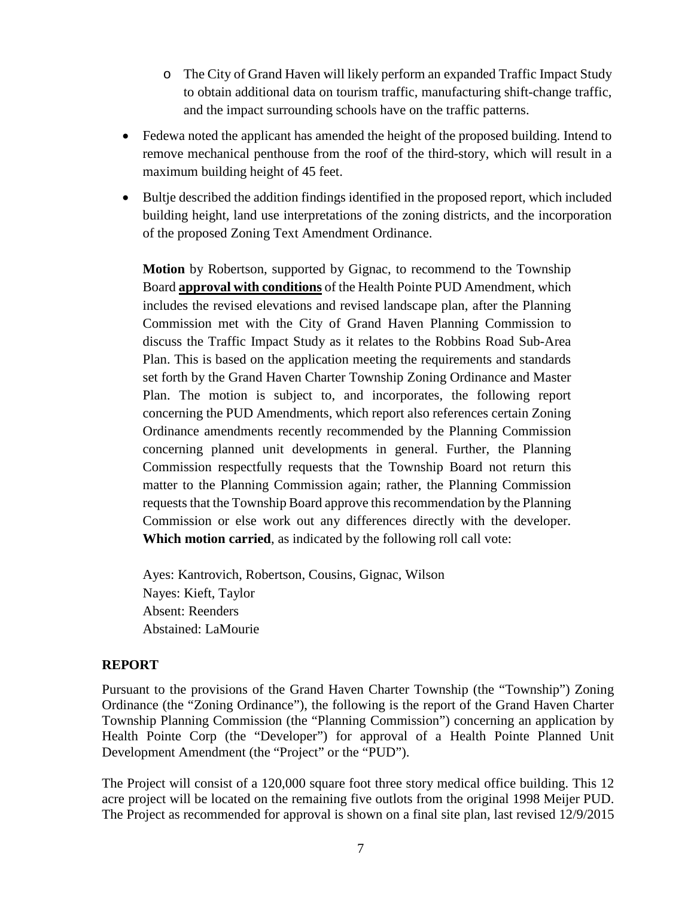- o The City of Grand Haven will likely perform an expanded Traffic Impact Study to obtain additional data on tourism traffic, manufacturing shift-change traffic, and the impact surrounding schools have on the traffic patterns.
- Fedewa noted the applicant has amended the height of the proposed building. Intend to remove mechanical penthouse from the roof of the third-story, which will result in a maximum building height of 45 feet.
- Bultje described the addition findings identified in the proposed report, which included building height, land use interpretations of the zoning districts, and the incorporation of the proposed Zoning Text Amendment Ordinance.

**Motion** by Robertson, supported by Gignac, to recommend to the Township Board **approval with conditions** of the Health Pointe PUD Amendment, which includes the revised elevations and revised landscape plan, after the Planning Commission met with the City of Grand Haven Planning Commission to discuss the Traffic Impact Study as it relates to the Robbins Road Sub-Area Plan. This is based on the application meeting the requirements and standards set forth by the Grand Haven Charter Township Zoning Ordinance and Master Plan. The motion is subject to, and incorporates, the following report concerning the PUD Amendments, which report also references certain Zoning Ordinance amendments recently recommended by the Planning Commission concerning planned unit developments in general. Further, the Planning Commission respectfully requests that the Township Board not return this matter to the Planning Commission again; rather, the Planning Commission requests that the Township Board approve this recommendation by the Planning Commission or else work out any differences directly with the developer. **Which motion carried**, as indicated by the following roll call vote:

Ayes: Kantrovich, Robertson, Cousins, Gignac, Wilson Nayes: Kieft, Taylor Absent: Reenders Abstained: LaMourie

#### **REPORT**

Pursuant to the provisions of the Grand Haven Charter Township (the "Township") Zoning Ordinance (the "Zoning Ordinance"), the following is the report of the Grand Haven Charter Township Planning Commission (the "Planning Commission") concerning an application by Health Pointe Corp (the "Developer") for approval of a Health Pointe Planned Unit Development Amendment (the "Project" or the "PUD").

The Project will consist of a 120,000 square foot three story medical office building. This 12 acre project will be located on the remaining five outlots from the original 1998 Meijer PUD. The Project as recommended for approval is shown on a final site plan, last revised 12/9/2015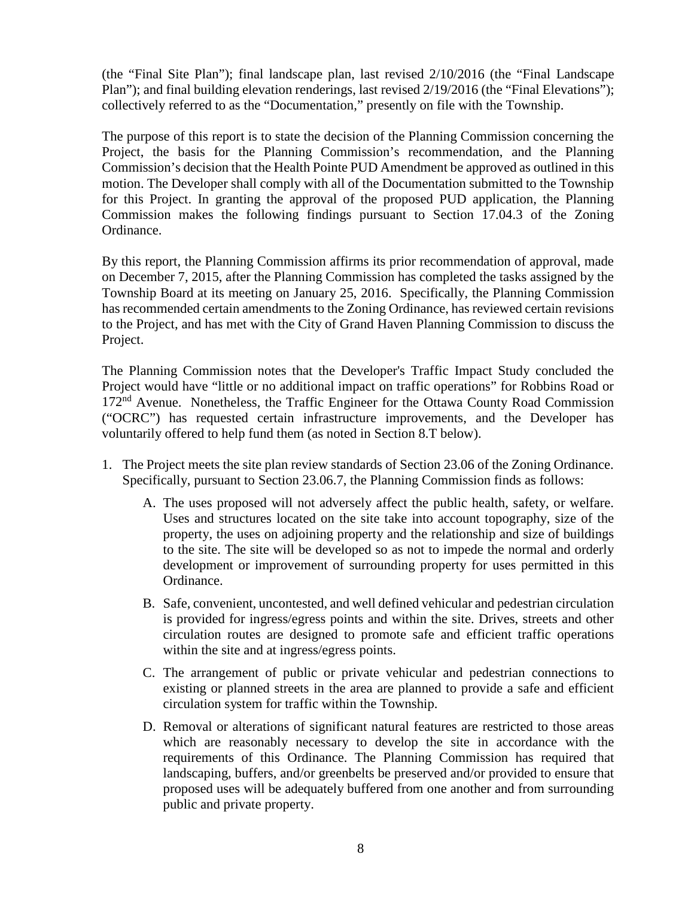(the "Final Site Plan"); final landscape plan, last revised 2/10/2016 (the "Final Landscape Plan"); and final building elevation renderings, last revised 2/19/2016 (the "Final Elevations"); collectively referred to as the "Documentation," presently on file with the Township.

The purpose of this report is to state the decision of the Planning Commission concerning the Project, the basis for the Planning Commission's recommendation, and the Planning Commission's decision that the Health Pointe PUD Amendment be approved as outlined in this motion. The Developer shall comply with all of the Documentation submitted to the Township for this Project. In granting the approval of the proposed PUD application, the Planning Commission makes the following findings pursuant to Section 17.04.3 of the Zoning Ordinance.

By this report, the Planning Commission affirms its prior recommendation of approval, made on December 7, 2015, after the Planning Commission has completed the tasks assigned by the Township Board at its meeting on January 25, 2016. Specifically, the Planning Commission has recommended certain amendments to the Zoning Ordinance, has reviewed certain revisions to the Project, and has met with the City of Grand Haven Planning Commission to discuss the Project.

The Planning Commission notes that the Developer's Traffic Impact Study concluded the Project would have "little or no additional impact on traffic operations" for Robbins Road or 172<sup>nd</sup> Avenue. Nonetheless, the Traffic Engineer for the Ottawa County Road Commission ("OCRC") has requested certain infrastructure improvements, and the Developer has voluntarily offered to help fund them (as noted in Section 8.T below).

- 1. The Project meets the site plan review standards of Section 23.06 of the Zoning Ordinance. Specifically, pursuant to Section 23.06.7, the Planning Commission finds as follows:
	- A. The uses proposed will not adversely affect the public health, safety, or welfare. Uses and structures located on the site take into account topography, size of the property, the uses on adjoining property and the relationship and size of buildings to the site. The site will be developed so as not to impede the normal and orderly development or improvement of surrounding property for uses permitted in this Ordinance.
	- B. Safe, convenient, uncontested, and well defined vehicular and pedestrian circulation is provided for ingress/egress points and within the site. Drives, streets and other circulation routes are designed to promote safe and efficient traffic operations within the site and at ingress/egress points.
	- C. The arrangement of public or private vehicular and pedestrian connections to existing or planned streets in the area are planned to provide a safe and efficient circulation system for traffic within the Township.
	- D. Removal or alterations of significant natural features are restricted to those areas which are reasonably necessary to develop the site in accordance with the requirements of this Ordinance. The Planning Commission has required that landscaping, buffers, and/or greenbelts be preserved and/or provided to ensure that proposed uses will be adequately buffered from one another and from surrounding public and private property.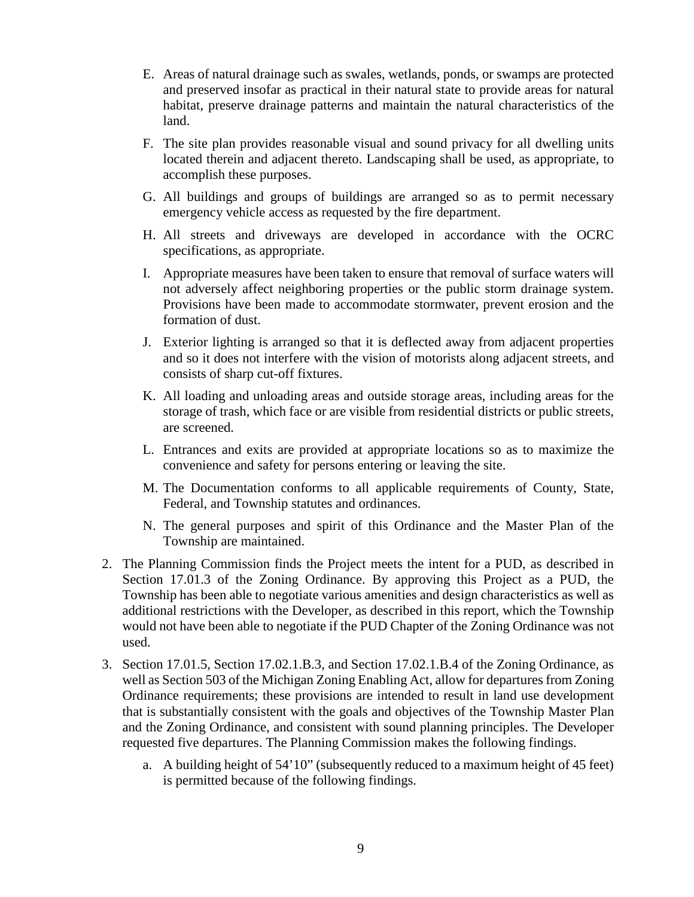- E. Areas of natural drainage such as swales, wetlands, ponds, or swamps are protected and preserved insofar as practical in their natural state to provide areas for natural habitat, preserve drainage patterns and maintain the natural characteristics of the land.
- F. The site plan provides reasonable visual and sound privacy for all dwelling units located therein and adjacent thereto. Landscaping shall be used, as appropriate, to accomplish these purposes.
- G. All buildings and groups of buildings are arranged so as to permit necessary emergency vehicle access as requested by the fire department.
- H. All streets and driveways are developed in accordance with the OCRC specifications, as appropriate.
- I. Appropriate measures have been taken to ensure that removal of surface waters will not adversely affect neighboring properties or the public storm drainage system. Provisions have been made to accommodate stormwater, prevent erosion and the formation of dust.
- J. Exterior lighting is arranged so that it is deflected away from adjacent properties and so it does not interfere with the vision of motorists along adjacent streets, and consists of sharp cut-off fixtures.
- K. All loading and unloading areas and outside storage areas, including areas for the storage of trash, which face or are visible from residential districts or public streets, are screened.
- L. Entrances and exits are provided at appropriate locations so as to maximize the convenience and safety for persons entering or leaving the site.
- M. The Documentation conforms to all applicable requirements of County, State, Federal, and Township statutes and ordinances.
- N. The general purposes and spirit of this Ordinance and the Master Plan of the Township are maintained.
- 2. The Planning Commission finds the Project meets the intent for a PUD, as described in Section 17.01.3 of the Zoning Ordinance. By approving this Project as a PUD, the Township has been able to negotiate various amenities and design characteristics as well as additional restrictions with the Developer, as described in this report, which the Township would not have been able to negotiate if the PUD Chapter of the Zoning Ordinance was not used.
- 3. Section 17.01.5, Section 17.02.1.B.3, and Section 17.02.1.B.4 of the Zoning Ordinance, as well as Section 503 of the Michigan Zoning Enabling Act, allow for departures from Zoning Ordinance requirements; these provisions are intended to result in land use development that is substantially consistent with the goals and objectives of the Township Master Plan and the Zoning Ordinance, and consistent with sound planning principles. The Developer requested five departures. The Planning Commission makes the following findings.
	- a. A building height of 54'10" (subsequently reduced to a maximum height of 45 feet) is permitted because of the following findings.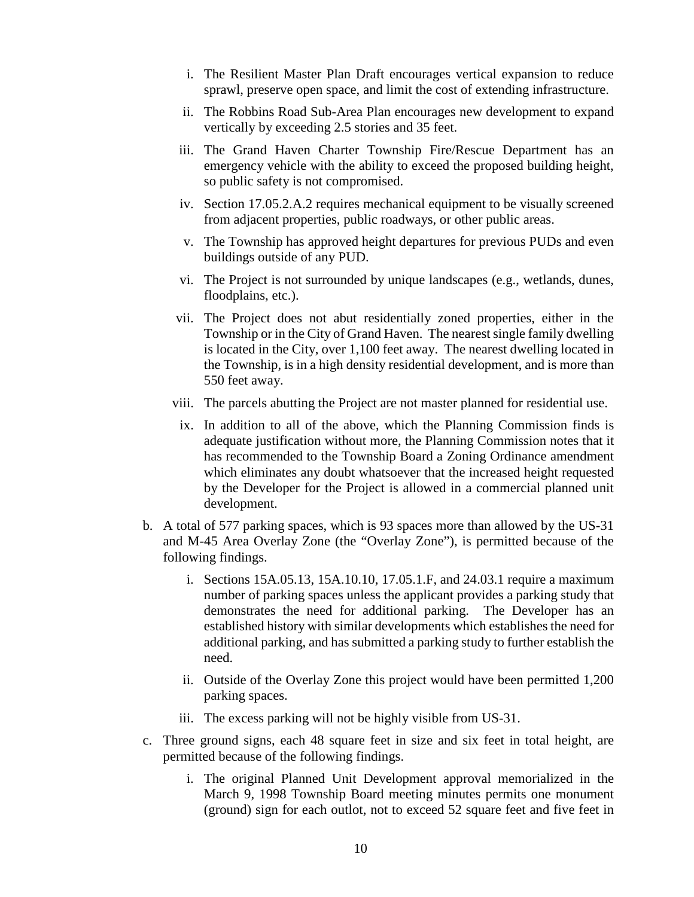- i. The Resilient Master Plan Draft encourages vertical expansion to reduce sprawl, preserve open space, and limit the cost of extending infrastructure.
- ii. The Robbins Road Sub-Area Plan encourages new development to expand vertically by exceeding 2.5 stories and 35 feet.
- iii. The Grand Haven Charter Township Fire/Rescue Department has an emergency vehicle with the ability to exceed the proposed building height, so public safety is not compromised.
- iv. Section 17.05.2.A.2 requires mechanical equipment to be visually screened from adjacent properties, public roadways, or other public areas.
- v. The Township has approved height departures for previous PUDs and even buildings outside of any PUD.
- vi. The Project is not surrounded by unique landscapes (e.g., wetlands, dunes, floodplains, etc.).
- vii. The Project does not abut residentially zoned properties, either in the Township or in the City of Grand Haven. The nearest single family dwelling is located in the City, over 1,100 feet away. The nearest dwelling located in the Township, is in a high density residential development, and is more than 550 feet away.
- viii. The parcels abutting the Project are not master planned for residential use.
- ix. In addition to all of the above, which the Planning Commission finds is adequate justification without more, the Planning Commission notes that it has recommended to the Township Board a Zoning Ordinance amendment which eliminates any doubt whatsoever that the increased height requested by the Developer for the Project is allowed in a commercial planned unit development.
- b. A total of 577 parking spaces, which is 93 spaces more than allowed by the US-31 and M-45 Area Overlay Zone (the "Overlay Zone"), is permitted because of the following findings.
	- i. Sections 15A.05.13, 15A.10.10, 17.05.1.F, and 24.03.1 require a maximum number of parking spaces unless the applicant provides a parking study that demonstrates the need for additional parking. The Developer has an established history with similar developments which establishes the need for additional parking, and has submitted a parking study to further establish the need.
	- ii. Outside of the Overlay Zone this project would have been permitted 1,200 parking spaces.
	- iii. The excess parking will not be highly visible from US-31.
- c. Three ground signs, each 48 square feet in size and six feet in total height, are permitted because of the following findings.
	- i. The original Planned Unit Development approval memorialized in the March 9, 1998 Township Board meeting minutes permits one monument (ground) sign for each outlot, not to exceed 52 square feet and five feet in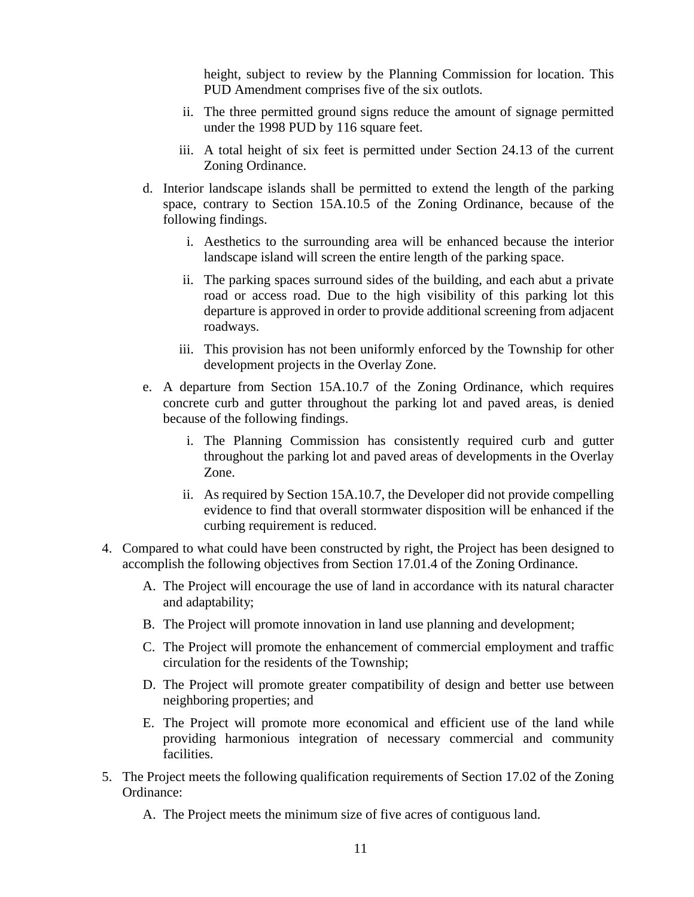height, subject to review by the Planning Commission for location. This PUD Amendment comprises five of the six outlots.

- ii. The three permitted ground signs reduce the amount of signage permitted under the 1998 PUD by 116 square feet.
- iii. A total height of six feet is permitted under Section 24.13 of the current Zoning Ordinance.
- d. Interior landscape islands shall be permitted to extend the length of the parking space, contrary to Section 15A.10.5 of the Zoning Ordinance, because of the following findings.
	- i. Aesthetics to the surrounding area will be enhanced because the interior landscape island will screen the entire length of the parking space.
	- ii. The parking spaces surround sides of the building, and each abut a private road or access road. Due to the high visibility of this parking lot this departure is approved in order to provide additional screening from adjacent roadways.
	- iii. This provision has not been uniformly enforced by the Township for other development projects in the Overlay Zone.
- e. A departure from Section 15A.10.7 of the Zoning Ordinance, which requires concrete curb and gutter throughout the parking lot and paved areas, is denied because of the following findings.
	- i. The Planning Commission has consistently required curb and gutter throughout the parking lot and paved areas of developments in the Overlay Zone.
	- ii. As required by Section 15A.10.7, the Developer did not provide compelling evidence to find that overall stormwater disposition will be enhanced if the curbing requirement is reduced.
- 4. Compared to what could have been constructed by right, the Project has been designed to accomplish the following objectives from Section 17.01.4 of the Zoning Ordinance.
	- A. The Project will encourage the use of land in accordance with its natural character and adaptability;
	- B. The Project will promote innovation in land use planning and development;
	- C. The Project will promote the enhancement of commercial employment and traffic circulation for the residents of the Township;
	- D. The Project will promote greater compatibility of design and better use between neighboring properties; and
	- E. The Project will promote more economical and efficient use of the land while providing harmonious integration of necessary commercial and community facilities.
- 5. The Project meets the following qualification requirements of Section 17.02 of the Zoning Ordinance:
	- A. The Project meets the minimum size of five acres of contiguous land.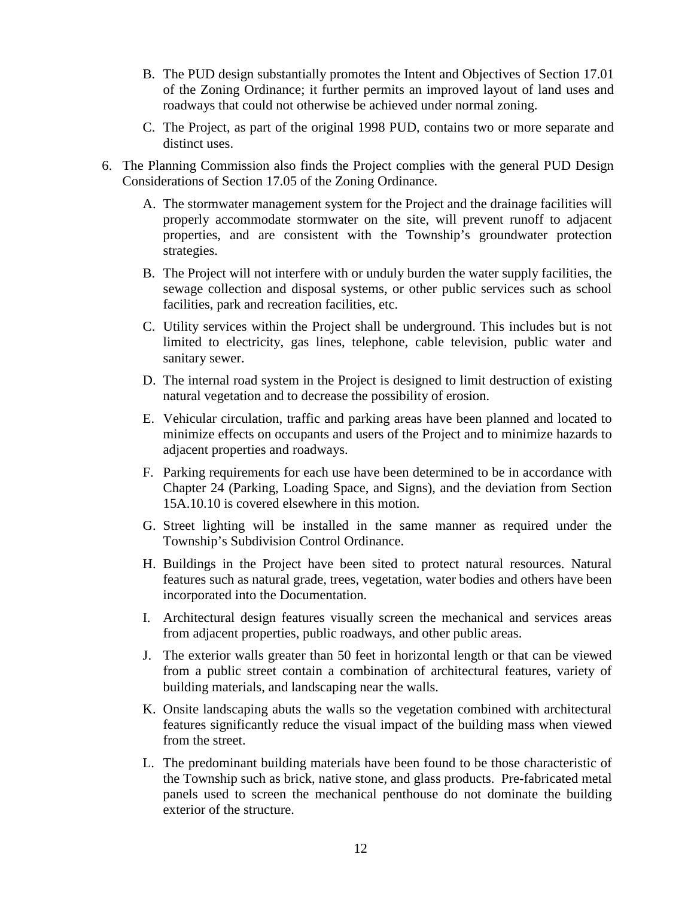- B. The PUD design substantially promotes the Intent and Objectives of Section 17.01 of the Zoning Ordinance; it further permits an improved layout of land uses and roadways that could not otherwise be achieved under normal zoning.
- C. The Project, as part of the original 1998 PUD, contains two or more separate and distinct uses.
- 6. The Planning Commission also finds the Project complies with the general PUD Design Considerations of Section 17.05 of the Zoning Ordinance.
	- A. The stormwater management system for the Project and the drainage facilities will properly accommodate stormwater on the site, will prevent runoff to adjacent properties, and are consistent with the Township's groundwater protection strategies.
	- B. The Project will not interfere with or unduly burden the water supply facilities, the sewage collection and disposal systems, or other public services such as school facilities, park and recreation facilities, etc.
	- C. Utility services within the Project shall be underground. This includes but is not limited to electricity, gas lines, telephone, cable television, public water and sanitary sewer.
	- D. The internal road system in the Project is designed to limit destruction of existing natural vegetation and to decrease the possibility of erosion.
	- E. Vehicular circulation, traffic and parking areas have been planned and located to minimize effects on occupants and users of the Project and to minimize hazards to adjacent properties and roadways.
	- F. Parking requirements for each use have been determined to be in accordance with Chapter 24 (Parking, Loading Space, and Signs), and the deviation from Section 15A.10.10 is covered elsewhere in this motion.
	- G. Street lighting will be installed in the same manner as required under the Township's Subdivision Control Ordinance.
	- H. Buildings in the Project have been sited to protect natural resources. Natural features such as natural grade, trees, vegetation, water bodies and others have been incorporated into the Documentation.
	- I. Architectural design features visually screen the mechanical and services areas from adjacent properties, public roadways, and other public areas.
	- J. The exterior walls greater than 50 feet in horizontal length or that can be viewed from a public street contain a combination of architectural features, variety of building materials, and landscaping near the walls.
	- K. Onsite landscaping abuts the walls so the vegetation combined with architectural features significantly reduce the visual impact of the building mass when viewed from the street.
	- L. The predominant building materials have been found to be those characteristic of the Township such as brick, native stone, and glass products. Pre-fabricated metal panels used to screen the mechanical penthouse do not dominate the building exterior of the structure.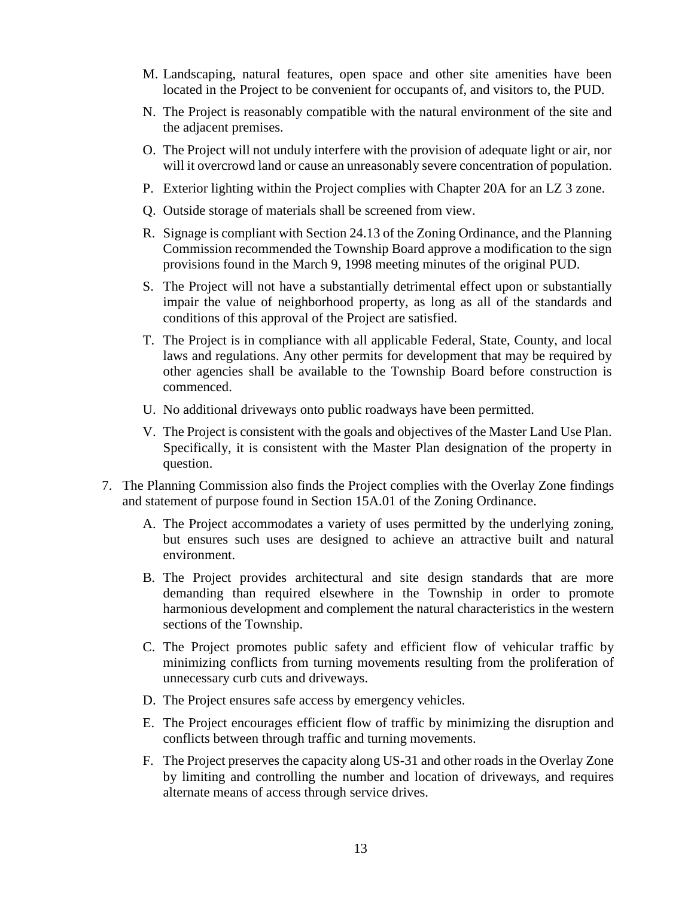- M. Landscaping, natural features, open space and other site amenities have been located in the Project to be convenient for occupants of, and visitors to, the PUD.
- N. The Project is reasonably compatible with the natural environment of the site and the adjacent premises.
- O. The Project will not unduly interfere with the provision of adequate light or air, nor will it overcrowd land or cause an unreasonably severe concentration of population.
- P. Exterior lighting within the Project complies with Chapter 20A for an LZ 3 zone.
- Q. Outside storage of materials shall be screened from view.
- R. Signage is compliant with Section 24.13 of the Zoning Ordinance, and the Planning Commission recommended the Township Board approve a modification to the sign provisions found in the March 9, 1998 meeting minutes of the original PUD.
- S. The Project will not have a substantially detrimental effect upon or substantially impair the value of neighborhood property, as long as all of the standards and conditions of this approval of the Project are satisfied.
- T. The Project is in compliance with all applicable Federal, State, County, and local laws and regulations. Any other permits for development that may be required by other agencies shall be available to the Township Board before construction is commenced.
- U. No additional driveways onto public roadways have been permitted.
- V. The Project is consistent with the goals and objectives of the Master Land Use Plan. Specifically, it is consistent with the Master Plan designation of the property in question.
- 7. The Planning Commission also finds the Project complies with the Overlay Zone findings and statement of purpose found in Section 15A.01 of the Zoning Ordinance.
	- A. The Project accommodates a variety of uses permitted by the underlying zoning, but ensures such uses are designed to achieve an attractive built and natural environment.
	- B. The Project provides architectural and site design standards that are more demanding than required elsewhere in the Township in order to promote harmonious development and complement the natural characteristics in the western sections of the Township.
	- C. The Project promotes public safety and efficient flow of vehicular traffic by minimizing conflicts from turning movements resulting from the proliferation of unnecessary curb cuts and driveways.
	- D. The Project ensures safe access by emergency vehicles.
	- E. The Project encourages efficient flow of traffic by minimizing the disruption and conflicts between through traffic and turning movements.
	- F. The Project preserves the capacity along US-31 and other roads in the Overlay Zone by limiting and controlling the number and location of driveways, and requires alternate means of access through service drives.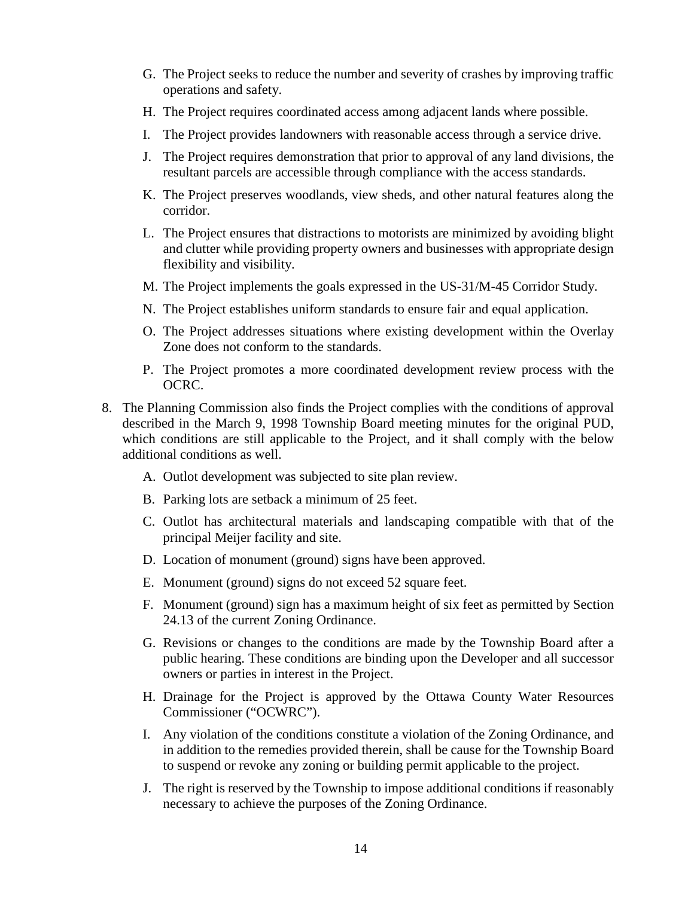- G. The Project seeks to reduce the number and severity of crashes by improving traffic operations and safety.
- H. The Project requires coordinated access among adjacent lands where possible.
- I. The Project provides landowners with reasonable access through a service drive.
- J. The Project requires demonstration that prior to approval of any land divisions, the resultant parcels are accessible through compliance with the access standards.
- K. The Project preserves woodlands, view sheds, and other natural features along the corridor.
- L. The Project ensures that distractions to motorists are minimized by avoiding blight and clutter while providing property owners and businesses with appropriate design flexibility and visibility.
- M. The Project implements the goals expressed in the US-31/M-45 Corridor Study.
- N. The Project establishes uniform standards to ensure fair and equal application.
- O. The Project addresses situations where existing development within the Overlay Zone does not conform to the standards.
- P. The Project promotes a more coordinated development review process with the OCRC.
- 8. The Planning Commission also finds the Project complies with the conditions of approval described in the March 9, 1998 Township Board meeting minutes for the original PUD, which conditions are still applicable to the Project, and it shall comply with the below additional conditions as well.
	- A. Outlot development was subjected to site plan review.
	- B. Parking lots are setback a minimum of 25 feet.
	- C. Outlot has architectural materials and landscaping compatible with that of the principal Meijer facility and site.
	- D. Location of monument (ground) signs have been approved.
	- E. Monument (ground) signs do not exceed 52 square feet.
	- F. Monument (ground) sign has a maximum height of six feet as permitted by Section 24.13 of the current Zoning Ordinance.
	- G. Revisions or changes to the conditions are made by the Township Board after a public hearing. These conditions are binding upon the Developer and all successor owners or parties in interest in the Project.
	- H. Drainage for the Project is approved by the Ottawa County Water Resources Commissioner ("OCWRC").
	- I. Any violation of the conditions constitute a violation of the Zoning Ordinance, and in addition to the remedies provided therein, shall be cause for the Township Board to suspend or revoke any zoning or building permit applicable to the project.
	- J. The right is reserved by the Township to impose additional conditions if reasonably necessary to achieve the purposes of the Zoning Ordinance.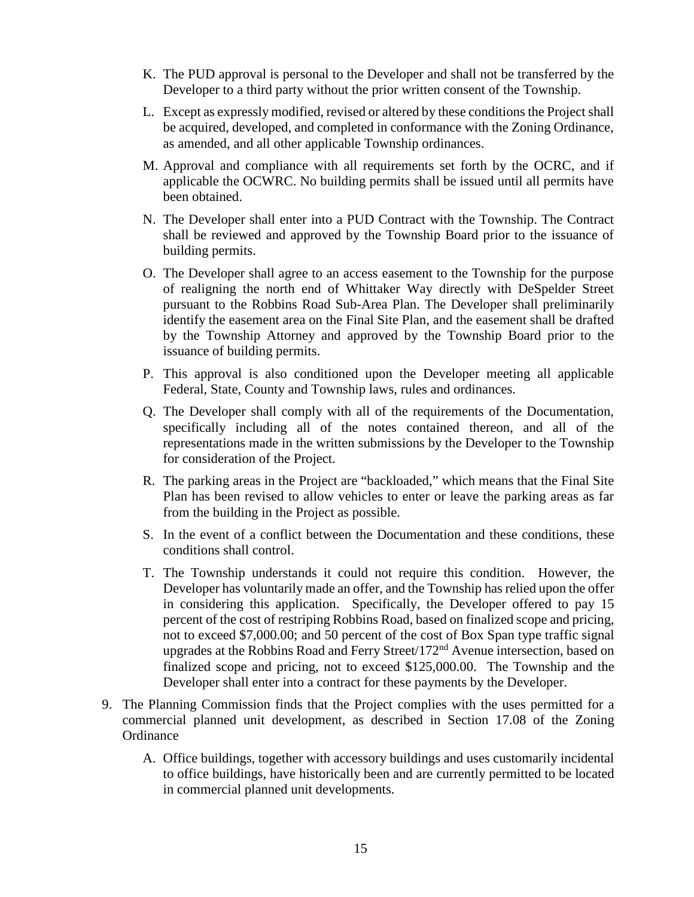- K. The PUD approval is personal to the Developer and shall not be transferred by the Developer to a third party without the prior written consent of the Township.
- L. Except as expressly modified, revised or altered by these conditions the Project shall be acquired, developed, and completed in conformance with the Zoning Ordinance, as amended, and all other applicable Township ordinances.
- M. Approval and compliance with all requirements set forth by the OCRC, and if applicable the OCWRC. No building permits shall be issued until all permits have been obtained.
- N. The Developer shall enter into a PUD Contract with the Township. The Contract shall be reviewed and approved by the Township Board prior to the issuance of building permits.
- O. The Developer shall agree to an access easement to the Township for the purpose of realigning the north end of Whittaker Way directly with DeSpelder Street pursuant to the Robbins Road Sub-Area Plan. The Developer shall preliminarily identify the easement area on the Final Site Plan, and the easement shall be drafted by the Township Attorney and approved by the Township Board prior to the issuance of building permits.
- P. This approval is also conditioned upon the Developer meeting all applicable Federal, State, County and Township laws, rules and ordinances.
- Q. The Developer shall comply with all of the requirements of the Documentation, specifically including all of the notes contained thereon, and all of the representations made in the written submissions by the Developer to the Township for consideration of the Project.
- R. The parking areas in the Project are "backloaded," which means that the Final Site Plan has been revised to allow vehicles to enter or leave the parking areas as far from the building in the Project as possible.
- S. In the event of a conflict between the Documentation and these conditions, these conditions shall control.
- T. The Township understands it could not require this condition. However, the Developer has voluntarily made an offer, and the Township has relied upon the offer in considering this application. Specifically, the Developer offered to pay 15 percent of the cost of restriping Robbins Road, based on finalized scope and pricing, not to exceed \$7,000.00; and 50 percent of the cost of Box Span type traffic signal upgrades at the Robbins Road and Ferry Street/172nd Avenue intersection, based on finalized scope and pricing, not to exceed \$125,000.00. The Township and the Developer shall enter into a contract for these payments by the Developer.
- 9. The Planning Commission finds that the Project complies with the uses permitted for a commercial planned unit development, as described in Section 17.08 of the Zoning **Ordinance** 
	- A. Office buildings, together with accessory buildings and uses customarily incidental to office buildings, have historically been and are currently permitted to be located in commercial planned unit developments.